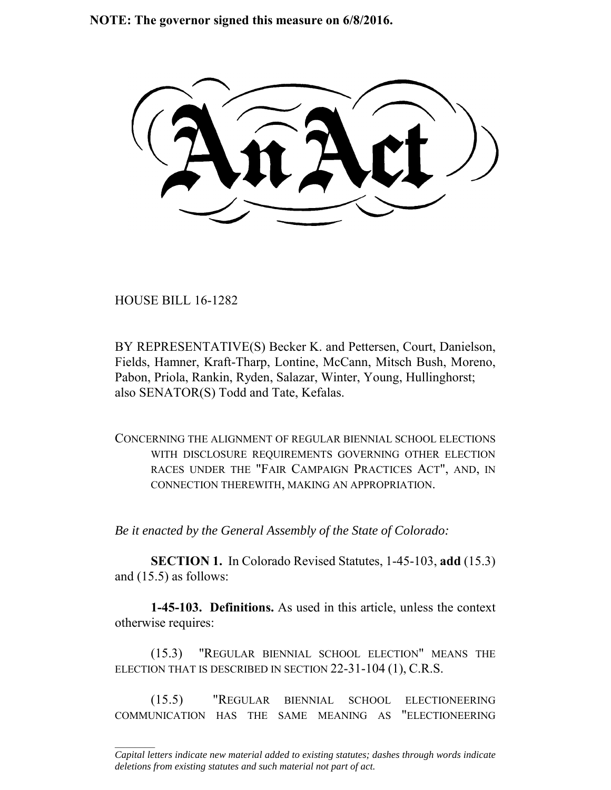**NOTE: The governor signed this measure on 6/8/2016.**

HOUSE BILL 16-1282

 $\frac{1}{2}$ 

BY REPRESENTATIVE(S) Becker K. and Pettersen, Court, Danielson, Fields, Hamner, Kraft-Tharp, Lontine, McCann, Mitsch Bush, Moreno, Pabon, Priola, Rankin, Ryden, Salazar, Winter, Young, Hullinghorst; also SENATOR(S) Todd and Tate, Kefalas.

CONCERNING THE ALIGNMENT OF REGULAR BIENNIAL SCHOOL ELECTIONS WITH DISCLOSURE REQUIREMENTS GOVERNING OTHER ELECTION RACES UNDER THE "FAIR CAMPAIGN PRACTICES ACT", AND, IN CONNECTION THEREWITH, MAKING AN APPROPRIATION.

*Be it enacted by the General Assembly of the State of Colorado:*

**SECTION 1.** In Colorado Revised Statutes, 1-45-103, **add** (15.3) and (15.5) as follows:

**1-45-103. Definitions.** As used in this article, unless the context otherwise requires:

(15.3) "REGULAR BIENNIAL SCHOOL ELECTION" MEANS THE ELECTION THAT IS DESCRIBED IN SECTION 22-31-104 (1), C.R.S.

(15.5) "REGULAR BIENNIAL SCHOOL ELECTIONEERING COMMUNICATION HAS THE SAME MEANING AS "ELECTIONEERING

*Capital letters indicate new material added to existing statutes; dashes through words indicate deletions from existing statutes and such material not part of act.*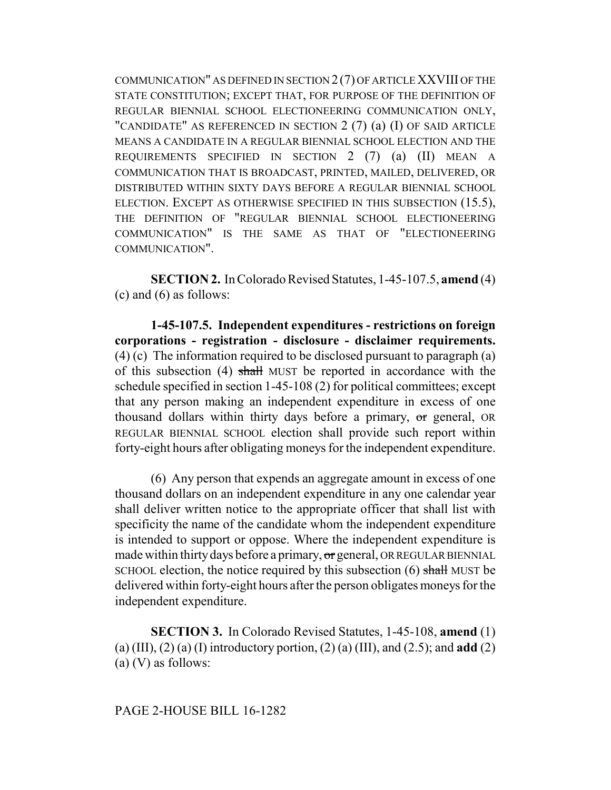COMMUNICATION" AS DEFINED IN SECTION 2 (7) OF ARTICLE XXVIII OF THE STATE CONSTITUTION; EXCEPT THAT, FOR PURPOSE OF THE DEFINITION OF REGULAR BIENNIAL SCHOOL ELECTIONEERING COMMUNICATION ONLY, "CANDIDATE" AS REFERENCED IN SECTION 2 (7) (a) (I) OF SAID ARTICLE MEANS A CANDIDATE IN A REGULAR BIENNIAL SCHOOL ELECTION AND THE REQUIREMENTS SPECIFIED IN SECTION 2 (7) (a) (II) MEAN A COMMUNICATION THAT IS BROADCAST, PRINTED, MAILED, DELIVERED, OR DISTRIBUTED WITHIN SIXTY DAYS BEFORE A REGULAR BIENNIAL SCHOOL ELECTION. EXCEPT AS OTHERWISE SPECIFIED IN THIS SUBSECTION (15.5), THE DEFINITION OF "REGULAR BIENNIAL SCHOOL ELECTIONEERING COMMUNICATION" IS THE SAME AS THAT OF "ELECTIONEERING COMMUNICATION".

**SECTION 2.** In Colorado Revised Statutes, 1-45-107.5, **amend** (4) (c) and (6) as follows:

**1-45-107.5. Independent expenditures - restrictions on foreign corporations - registration - disclosure - disclaimer requirements.** (4) (c) The information required to be disclosed pursuant to paragraph (a) of this subsection (4) shall MUST be reported in accordance with the schedule specified in section 1-45-108 (2) for political committees; except that any person making an independent expenditure in excess of one thousand dollars within thirty days before a primary, or general, OR REGULAR BIENNIAL SCHOOL election shall provide such report within forty-eight hours after obligating moneys for the independent expenditure.

(6) Any person that expends an aggregate amount in excess of one thousand dollars on an independent expenditure in any one calendar year shall deliver written notice to the appropriate officer that shall list with specificity the name of the candidate whom the independent expenditure is intended to support or oppose. Where the independent expenditure is made within thirty days before a primary, or general, OR REGULAR BIENNIAL SCHOOL election, the notice required by this subsection (6) shall MUST be delivered within forty-eight hours after the person obligates moneys for the independent expenditure.

**SECTION 3.** In Colorado Revised Statutes, 1-45-108, **amend** (1) (a) (III), (2) (a) (I) introductory portion, (2) (a) (III), and (2.5); and **add** (2) (a) (V) as follows: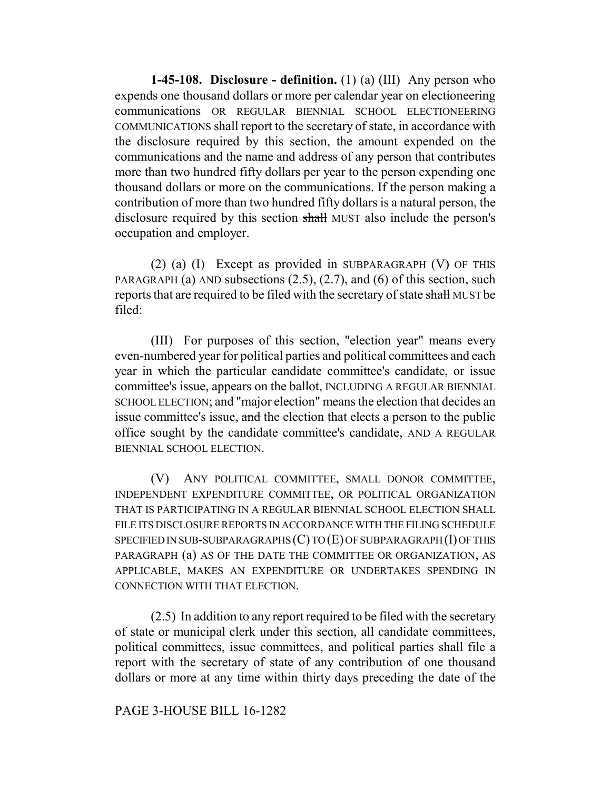**1-45-108. Disclosure - definition.** (1) (a) (III) Any person who expends one thousand dollars or more per calendar year on electioneering communications OR REGULAR BIENNIAL SCHOOL ELECTIONEERING COMMUNICATIONS shall report to the secretary of state, in accordance with the disclosure required by this section, the amount expended on the communications and the name and address of any person that contributes more than two hundred fifty dollars per year to the person expending one thousand dollars or more on the communications. If the person making a contribution of more than two hundred fifty dollars is a natural person, the disclosure required by this section shall MUST also include the person's occupation and employer.

(2) (a) (I) Except as provided in SUBPARAGRAPH (V) OF THIS PARAGRAPH (a) AND subsections  $(2.5)$ ,  $(2.7)$ , and  $(6)$  of this section, such reports that are required to be filed with the secretary of state shall MUST be filed:

(III) For purposes of this section, "election year" means every even-numbered year for political parties and political committees and each year in which the particular candidate committee's candidate, or issue committee's issue, appears on the ballot, INCLUDING A REGULAR BIENNIAL SCHOOL ELECTION; and "major election" means the election that decides an issue committee's issue, and the election that elects a person to the public office sought by the candidate committee's candidate, AND A REGULAR BIENNIAL SCHOOL ELECTION.

(V) ANY POLITICAL COMMITTEE, SMALL DONOR COMMITTEE, INDEPENDENT EXPENDITURE COMMITTEE, OR POLITICAL ORGANIZATION THAT IS PARTICIPATING IN A REGULAR BIENNIAL SCHOOL ELECTION SHALL FILE ITS DISCLOSURE REPORTS IN ACCORDANCE WITH THE FILING SCHEDULE SPECIFIED IN SUB-SUBPARAGRAPHS  $(C)$  TO  $(E)$  OF SUBPARAGRAPH  $(I)$  OF THIS PARAGRAPH (a) AS OF THE DATE THE COMMITTEE OR ORGANIZATION, AS APPLICABLE, MAKES AN EXPENDITURE OR UNDERTAKES SPENDING IN CONNECTION WITH THAT ELECTION.

(2.5) In addition to any report required to be filed with the secretary of state or municipal clerk under this section, all candidate committees, political committees, issue committees, and political parties shall file a report with the secretary of state of any contribution of one thousand dollars or more at any time within thirty days preceding the date of the

## PAGE 3-HOUSE BILL 16-1282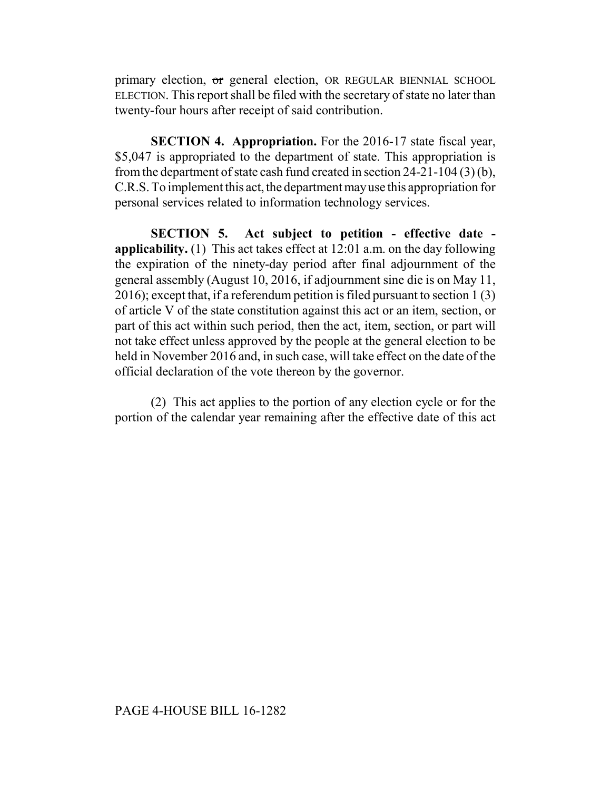primary election, or general election, OR REGULAR BIENNIAL SCHOOL ELECTION. This report shall be filed with the secretary of state no later than twenty-four hours after receipt of said contribution.

**SECTION 4. Appropriation.** For the 2016-17 state fiscal year, \$5,047 is appropriated to the department of state. This appropriation is from the department of state cash fund created in section 24-21-104 (3) (b), C.R.S. To implement this act, the department may use this appropriation for personal services related to information technology services.

**SECTION 5. Act subject to petition - effective date applicability.** (1) This act takes effect at 12:01 a.m. on the day following the expiration of the ninety-day period after final adjournment of the general assembly (August 10, 2016, if adjournment sine die is on May 11, 2016); except that, if a referendum petition is filed pursuant to section 1 (3) of article V of the state constitution against this act or an item, section, or part of this act within such period, then the act, item, section, or part will not take effect unless approved by the people at the general election to be held in November 2016 and, in such case, will take effect on the date of the official declaration of the vote thereon by the governor.

(2) This act applies to the portion of any election cycle or for the portion of the calendar year remaining after the effective date of this act